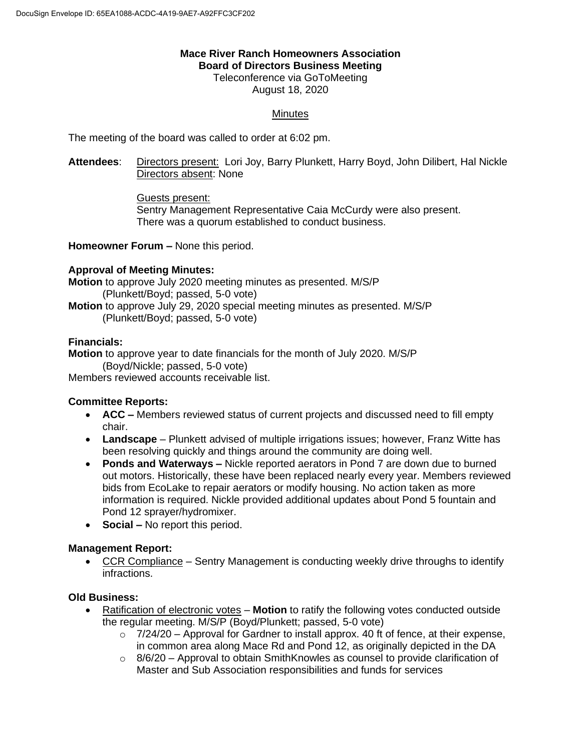# **Mace River Ranch Homeowners Association Board of Directors Business Meeting**

Teleconference via GoToMeeting August 18, 2020

### **Minutes**

The meeting of the board was called to order at 6:02 pm.

Attendees: Directors present: Lori Joy, Barry Plunkett, Harry Boyd, John Dilibert. Hal Nickle Directors absent: None

> Guests present: Sentry Management Representative Caia McCurdy were also present.

There was a quorum established to conduct business.

**Homeowner Forum –** None this period.

#### **Approval of Meeting Minutes:**

**Motion** to approve July 2020 meeting minutes as presented. M/S/P (Plunkett/Boyd; passed, 5-0 vote) **Motion** to approve July 29, 2020 special meeting minutes as presented. M/S/P

(Plunkett/Boyd; passed, 5-0 vote)

#### **Financials:**

**Motion** to approve year to date financials for the month of July 2020. M/S/P (Boyd/Nickle; passed, 5-0 vote)

Members reviewed accounts receivable list.

#### **Committee Reports:**

- **ACC –** Members reviewed status of current projects and discussed need to fill empty chair.
- **Landscape** Plunkett advised of multiple irrigations issues; however, Franz Witte has been resolving quickly and things around the community are doing well.
- **Ponds and Waterways –** Nickle reported aerators in Pond 7 are down due to burned out motors. Historically, these have been replaced nearly every year. Members reviewed bids from EcoLake to repair aerators or modify housing. No action taken as more information is required. Nickle provided additional updates about Pond 5 fountain and Pond 12 sprayer/hydromixer.
- **Social –** No report this period.

#### **Management Report:**

• CCR Compliance – Sentry Management is conducting weekly drive throughs to identify infractions.

#### **Old Business:**

- Ratification of electronic votes **Motion** to ratify the following votes conducted outside the regular meeting. M/S/P (Boyd/Plunkett; passed, 5-0 vote)
	- $\circ$  7/24/20 Approval for Gardner to install approx. 40 ft of fence, at their expense, in common area along Mace Rd and Pond 12, as originally depicted in the DA
	- $\circ$  8/6/20 Approval to obtain SmithKnowles as counsel to provide clarification of Master and Sub Association responsibilities and funds for services